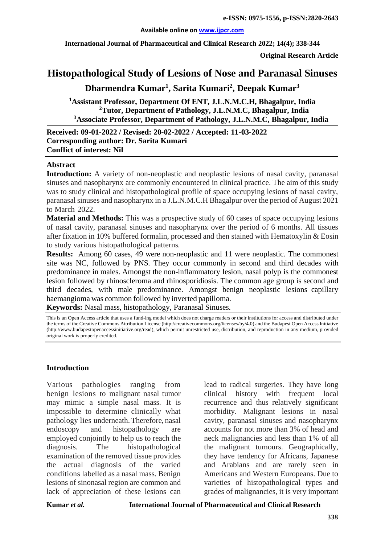### **Available online on [www.ijpcr.com](http://www.ijpcr.com/)**

**International Journal of Pharmaceutical and Clinical Research 2022; 14(4); 338-344**

**Original Research Article**

# **Histopathological Study of Lesions of Nose and Paranasal Sinuses**

**Dharmendra Kumar1 , Sarita Kumari2 , Deepak Kumar3**

**1 Assistant Professor, Department Of ENT, J.L.N.M.C.H, Bhagalpur, India <sup>2</sup> Tutor, Department of Pathology, J.L.N.M.C, Bhagalpur, India <sup>3</sup> Associate Professor, Department of Pathology, J.L.N.M.C, Bhagalpur, India**

**Received: 09-01-2022 / Revised: 20-02-2022 / Accepted: 11-03-2022 Corresponding author: Dr. Sarita Kumari Conflict of interest: Nil**

### **Abstract**

**Introduction:** A variety of non-neoplastic and neoplastic lesions of nasal cavity, paranasal sinuses and nasopharynx are commonly encountered in clinical practice. The aim of this study was to study clinical and histopathological profile of space occupying lesions of nasal cavity, paranasal sinuses and nasopharynx in a J.L.N.M.C.H Bhagalpur over the period of August 2021 to March 2022.

**Material and Methods:** This was a prospective study of 60 cases of space occupying lesions of nasal cavity, paranasal sinuses and nasopharynx over the period of 6 months. All tissues after fixation in 10% buffered formalin, processed and then stained with Hematoxylin & Eosin to study various histopathological patterns.

**Results:** Among 60 cases, 49 were non-neoplastic and 11 were neoplastic. The commonest site was NC, followed by PNS. They occur commonly in second and third decades with predominance in males. Amongst the non-inflammatory lesion, nasal polyp is the commonest lesion followed by rhinoscleroma and rhinosporidiosis. The common age group is second and third decades, with male predominance. Amongst benign neoplastic lesions capillary haemangioma was common followed by inverted papilloma.

**Keywords:** Nasal mass, histopathology, Paranasal Sinuses.

This is an Open Access article that uses a fund-ing model which does not charge readers or their institutions for access and distributed under the terms of the Creative Commons Attribution License (http://creativecommons.org/licenses/by/4.0) and the Budapest Open Access Initiative (http://www.budapestopenaccessinitiative.org/read), which permit unrestricted use, distribution, and reproduction in any medium, provided original work is properly credited.

### **Introduction**

Various pathologies ranging from benign lesions to malignant nasal tumor may mimic a simple nasal mass. It is impossible to determine clinically what pathology lies underneath.Therefore, nasal endoscopy and histopathology are employed conjointly to help us to reach the diagnosis. The histopathological examination of the removed tissue provides the actual diagnosis of the varied conditions labelled as a nasal mass. Benign lesions of sinonasal region are common and lack of appreciation of these lesions can

lead to radical surgeries. They have long clinical history with frequent local recurrence and thus relatively significant morbidity. Malignant lesions in nasal cavity, paranasal sinuses and nasopharynx accounts for not more than 3% of head and neck malignancies and less than 1% of all the malignant tumours. Geographically, they have tendency for Africans, Japanese and Arabians and are rarely seen in Americans and Western Europeans. Due to varieties of histopathological types and grades of malignancies, it is very important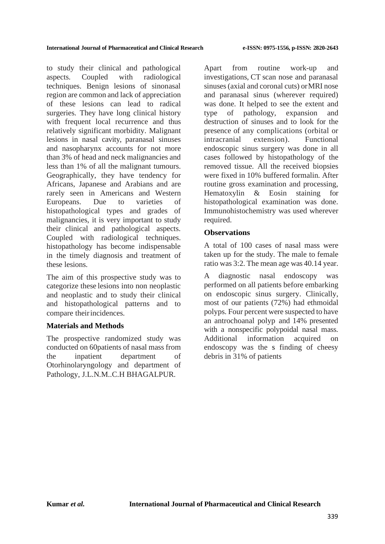to study their clinical and pathological aspects. Coupled with radiological techniques. Benign lesions of sinonasal region are common and lack of appreciation of these lesions can lead to radical surgeries. They have long clinical history with frequent local recurrence and thus relatively significant morbidity. Malignant lesions in nasal cavity, paranasal sinuses and nasopharynx accounts for not more than 3% of head and neck malignancies and less than 1% of all the malignant tumours. Geographically, they have tendency for Africans, Japanese and Arabians and are rarely seen in Americans and Western Europeans. Due to varieties of histopathological types and grades of malignancies, it is very important to study their clinical and pathological aspects. Coupled with radiological techniques. histopathology has become indispensable in the timely diagnosis and treatment of these lesions.

The aim of this prospective study was to categorize these lesions into non neoplastic and neoplastic and to study their clinical and histopathological patterns and to compare theirincidences.

## **Materials and Methods**

The prospective randomized study was conducted on 60patients of nasal mass from the inpatient department of Otorhinolaryngology and department of Pathology, J.L.N.M..C.H BHAGALPUR.

Apart from routine work-up and investigations, CT scan nose and paranasal sinuses (axial and coronal cuts) orMRI nose and paranasal sinus (wherever required) was done. It helped to see the extent and type of pathology, expansion and destruction of sinuses and to look for the presence of any complications (orbital or intracranial extension). Functional endoscopic sinus surgery was done in all cases followed by histopathology of the removed tissue. All the received biopsies were fixed in 10% buffered formalin. After routine gross examination and processing, Hematoxylin & Eosin staining for histopathological examination was done. Immunohistochemistry was used wherever required.

## **Observations**

A total of 100 cases of nasal mass were taken up for the study. The male to female ratio was 3:2. The mean age was 40.14 year.

A diagnostic nasal endoscopy was performed on all patients before embarking on endoscopic sinus surgery. Clinically, most of our patients (72%) had ethmoidal polyps. Four percent were suspected to have an antrochoanal polyp and 14% presented with a nonspecific polypoidal nasal mass. Additional information acquired on endoscopy was the s finding of cheesy debris in 31% of patients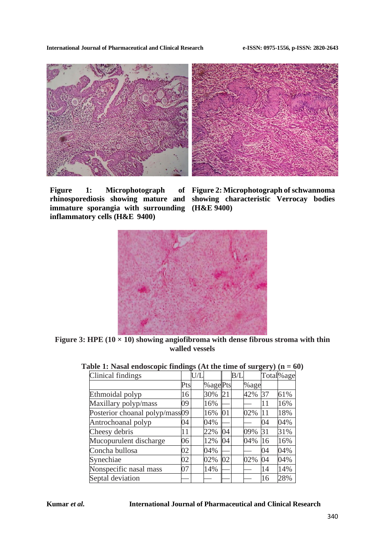**International Journal of Pharmaceutical and Clinical Research e-ISSN: 0975-1556, p-ISSN: 2820-2643**



**Figure 1: Microphotograph immature sporangia with surrounding (H&E 9400) inflammatory cells (H&E 9400)**

**rhinosporediosis showing mature and showing characteristic Verrocay bodies Figure 2: Microphotograph of schwannoma** 



**Figure 3: HPE (10 × 10) showing angiofibroma with dense fibrous stroma with thin walled vessels**

| Total%age |
|-----------|
|           |
|           |
| 61%       |
| 16%       |
| 18%       |
| 04%       |
| 31%       |
| 16%       |
| 04%       |
| 04%       |
| 14%       |
| 28%       |
|           |

### **Table 1: Nasal endoscopic findings (At the time of surgery) (n = 60)**

### **Kumar** *et al.* **International Journal of Pharmaceutical and Clinical Research**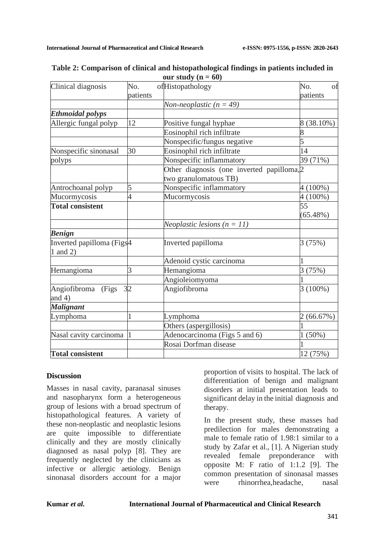| Clinical diagnosis                                | No.      | ofHistopathology                           | No.<br>Οf   |
|---------------------------------------------------|----------|--------------------------------------------|-------------|
|                                                   | patients |                                            | patients    |
|                                                   |          | Non-neoplastic $(n = 49)$                  |             |
| <b>Ethmoidal polyps</b>                           |          |                                            |             |
| Allergic fungal polyp                             | 12       | Positive fungal hyphae                     | 8 (38.10%)  |
|                                                   |          | Eosinophil rich infiltrate                 |             |
|                                                   |          | Nonspecific/fungus negative                | 5           |
| Nonspecific sinonasal                             | 30       | Eosinophil rich infiltrate                 | 14          |
| polyps                                            |          | Nonspecific inflammatory                   | 39 (71%)    |
|                                                   |          | Other diagnosis (one inverted papilloma, 2 |             |
|                                                   |          | two granulomatous TB)                      |             |
| Antrochoanal polyp                                | 5        | Nonspecific inflammatory                   | $4(100\%)$  |
| Mucormycosis                                      | 4        | Mucormycosis                               | $4(100\%)$  |
| <b>Total consistent</b>                           |          |                                            | 55          |
|                                                   |          |                                            | $(65.48\%)$ |
|                                                   |          | Neoplastic lesions $(n = 11)$              |             |
| <b>Benign</b>                                     |          |                                            |             |
| Inverted papilloma (Figs <sup>4</sup><br>1 and 2) |          | Inverted papilloma                         | 3(75%)      |
|                                                   |          | Adenoid cystic carcinoma                   |             |
| Hemangioma                                        | 3        | Hemangioma                                 | 3(75%)      |
|                                                   |          | Angioleiomyoma                             |             |
| Angiofibroma<br>(Figs<br>and $4)$                 | 32       | Angiofibroma                               | $3(100\%)$  |
| <b>Malignant</b>                                  |          |                                            |             |
| Lymphoma                                          | 1        | Lymphoma                                   | 2(66.67%)   |
|                                                   |          | Others (aspergillosis)                     |             |
| Nasal cavity carcinoma 1                          |          | Adenocarcinoma (Figs 5 and 6)              | $1(50\%)$   |
|                                                   |          | Rosai Dorfman disease                      |             |
| <b>Total consistent</b>                           |          |                                            | 12 (75%)    |

| Table 2: Comparison of clinical and histopathological findings in patients included in |                        |  |
|----------------------------------------------------------------------------------------|------------------------|--|
|                                                                                        | our study ( $n = 60$ ) |  |

## **Discussion**

Masses in nasal cavity, paranasal sinuses and nasopharynx form a heterogeneous group of lesions with a broad spectrum of histopathological features. A variety of these non-neoplastic and neoplastic lesions are quite impossible to differentiate clinically and they are mostly clinically diagnosed as nasal polyp [8]. They are frequently neglected by the clinicians as infective or allergic aetiology. Benign sinonasal disorders account for a major

proportion of visits to hospital. The lack of differentiation of benign and malignant disorders at initial presentation leads to significant delay in the initial diagnosis and therapy.

In the present study, these masses had predilection for males demonstrating a male to female ratio of 1.98:1 similar to a study by Zafar et al., [1]. A Nigerian study revealed female preponderance with opposite M: F ratio of 1:1.2 [9]. The common presentation of sinonasal masses were rhinorrhea,headache, nasal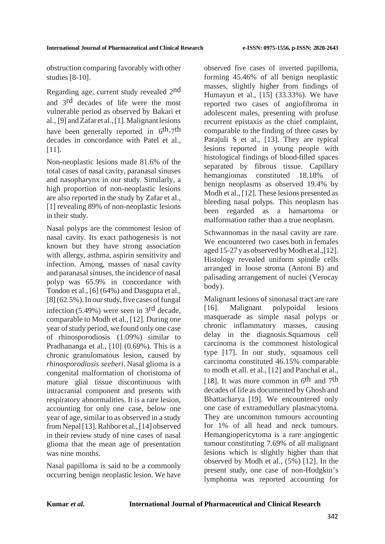obstruction comparing favorably with other studies [8-10].

Regarding age, current study revealed 2nd and 3rd decades of life were the most vulnerable period as observed by Bakari et al., [9] andZafar et al.,[1].Malignantlesions have been generally reported in 6th-7th decades in concordance with Patel et al., [11].

Non-neoplastic lesions made 81.6% of the total cases of nasal cavity, paranasal sinuses and nasopharynx in our study. Similarly, a high proportion of non-neoplastic lesions are also reported in the study by Zafar et al., [1] revealing 89% of non-neoplastic lesions in their study.

Nasal polyps are the commonest lesion of nasal cavity. Its exact pathogenesis is not known but they have strong association with allergy, asthma, aspirin sensitivity and infection. Among, masses of nasal cavity and paranasal sinuses, the incidence of nasal polyp was 65.9% in concordance with Tondon et al., [6] (64%) and Dasgupta et al.,  $[8]$  (62.5%). In our study, five cases of fungal infection (5.49%) were seen in 3rd decade, comparable to Modh et al., [12]. During one year of study period, we found only one case of rhinosporodiosis (1.09%) similar to Pradhananga et al., [10] (0.69%). This is a chronic granulomatous lesion, caused by *rhinosporodiosis seeberi*. Nasal glioma is a congenital malformation of choristoma of mature glial tissue discontinuous with intracranial component and presents with respiratory abnormalities. It is a rare lesion, accounting for only one case, below one year of age, similar to as observed in a study from Nepal[13].Rahbor et al.,[14] observed in their review study of nine cases of nasal glioma that the mean age of presentation was nine months.

Nasal papilloma is said to be a commonly occurring benign neoplastic lesion. We have observed five cases of inverted papilloma, forming 45.46% of all benign neoplastic masses, slightly higher from findings of Humayun et al., [15] (33.33%). We have reported two cases of angiofibroma in adolescent males, presenting with profuse recurrent epistaxis as the chief complaint, comparable to the finding of three cases by Parajuli S et al., [13]. They are typical lesions reported in young people with histological findings of blood-filled spaces separated by fibrous tissue. Capillary hemangiomas constituted 18.18% of benign neoplasms as observed 19.4% by Modh et al., [12]. These lesions presented as bleeding nasal polyps. This neoplasm has been regarded as a hamartoma or malformation rather than a true neoplasm.

Schwannomas in the nasal cavity are rare. We encountered two cases both in females aged15-27yasobservedbyModhet al.,[12]. Histology revealed uniform spindle cells arranged in loose stroma (Antoni B) and palisading arrangement of nuclei (Verocay body).

Malignant lesions of sinonasal tract are rare [16]. Malignant polypoidal lesions masquerade as simple nasal polyps or chronic inflammatory masses, causing delay in the diagnosis.Squamous cell carcinoma is the commonest histological type [17]. In our study, squamous cell carcinoma constituted 46.15% comparable to modh et all. et al., [12] and Panchal et al., [18]. It was more common in  $6<sup>th</sup>$  and  $7<sup>th</sup>$ decades of life as documented by Ghosh and Bhattacharya [19]. We encountered only one case of extramedullary plasmacytoma. They are uncommon tumours accounting for 1% of all head and neck tumours. Hemangiopericytoma is a rare angiogenic tumour constituting 7.69% of all malignant lesions which is slightly higher than that observed by Modh et al., (5%) [12]. In the present study, one case of non-Hodgkin's lymphoma was reported accounting for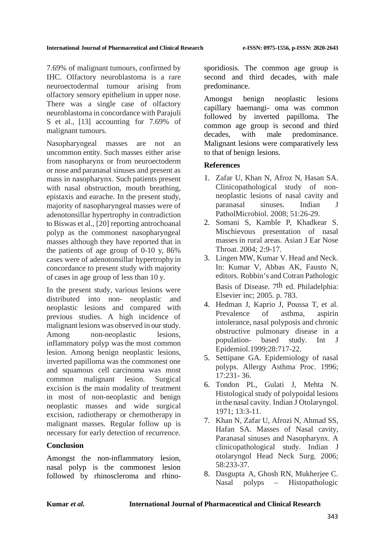7.69% of malignant tumours, confirmed by IHC. Olfactory neuroblastoma is a rare neuroectodermal tumour arising from olfactory sensory epithelium in upper nose. There was a single case of olfactory neuroblastoma in concordance with Parajuli S et al., [13] accounting for 7.69% of malignant tumours.

Nasopharyngeal masses are not an uncommon entity. Such masses either arise from nasopharynx or from neuroectoderm or nose and paranasal sinuses and present as mass in nasopharynx. Such patients present with nasal obstruction, mouth breathing, epistaxis and earache. In the present study, majority of nasopharyngeal masses were of adenotonsillar hypertrophy in contradiction to Biswas et al., [20] reporting antrochoanal polyp as the commonest nasopharyngeal masses although they have reported that in the patients of age group of 0-10 y, 86% cases were of adenotonsillar hypertrophy in concordance to present study with majority of cases in age group of less than 10 y.

In the present study, various lesions were distributed into non- neoplastic and neoplastic lesions and compared with previous studies. A high incidence of malignant lesions was observed in our study. Among non-neoplastic lesions, inflammatory polyp was the most common lesion. Among benign neoplastic lesions, inverted papilloma was the commonest one and squamous cell carcinoma was most common malignant lesion. Surgical excision is the main modality of treatment in most of non-neoplastic and benign neoplastic masses and wide surgical excision, radiotherapy or chemotherapy in malignant masses. Regular follow up is necessary for early detection of recurrence.

# **Conclusion**

Amongst the non-inflammatory lesion, nasal polyp is the commonest lesion followed by rhinoscleroma and rhinosporidiosis. The common age group is second and third decades, with male predominance.

Amongst benign neoplastic lesions capillary haemangi- oma was common followed by inverted papilloma. The common age group is second and third decades, with male predominance. Malignant lesions were comparatively less to that of benign lesions.

# **References**

- 1. Zafar U, Khan N, Afroz N, Hasan SA. Clinicopathological study of nonneoplastic lesions of nasal cavity and paranasal sinuses. Indian J PatholMicrobiol. 2008; 51:26-29.
- 2. Somani S, Kamble P, Khadkear S. Mischievous presentation of nasal masses in rural areas. Asian J Ear Nose Throat. 2004; 2:9-17.
- 3. Lingen MW, Kumar V. Head and Neck. In: Kumar V, Abbas AK, Fausto N, editors. Robbin's and Cotran Pathologic Basis of Disease. 7th ed. Philadelphia: Elsevier inc; 2005. p. 783.
- 4. Hedman J, Kaprio J, Poussa T, et al. Prevalence of asthma, aspirin intolerance, nasal polyposis and chronic obstructive pulmonary disease in a population- based study. Int J Epidemiol.1999;28:717-22.
- 5. Settipane GA. Epidemiology of nasal polyps. Allergy Asthma Proc. 1996; 17:231- 36.
- 6. Tondon PL, Gulati J, Mehta N. Histological study of polypoidal lesions in the nasal cavity. Indian J Otolaryngol. 1971; 13:3-11.
- 7. Khan N, Zafar U, Afrozi N, Ahmad SS, Hafan SA. Masses of Nasal cavity, Paranasal sinuses and Nasopharynx. A clinicopathological study. Indian J otolaryngol Head Neck Surg. 2006; 58:233-37.
- 8. Dasgupta A, Ghosh RN, Mukherjee C. Nasal polyps – Histopathologic